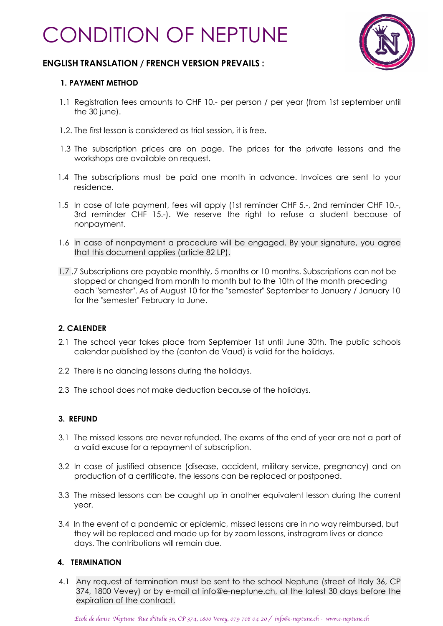# CONDITION OF NEPTUNE



# **ENGLISH TRANSLATION / FRENCH VERSION PREVAILS :**

## **1. PAYMENT METHOD**

- 1.1 Registration fees amounts to CHF 10.- per person / per year (from 1st september until the 30 june).
- 1.2. The first lesson is considered as trial session, it is free.
- 1.3 The subscription prices are on page. The prices for the private lessons and the workshops are available on request.
- 1.4 The subscriptions must be paid one month in advance. Invoices are sent to your residence.
- 1.5 In case of late payment, fees will apply (1st reminder CHF 5.-, 2nd reminder CHF 10.-, 3rd reminder CHF 15.-). We reserve the right to refuse a student because of nonpayment.
- 1.6 In case of nonpayment a procedure will be engaged. By your signature, you agree that this document applies (article 82 LP).
- 1.7 .7 Subscriptions are payable monthly, 5 months or 10 months. Subscriptions can not be stopped or changed from month to month but to the 10th of the month preceding each "semester". As of August 10 for the "semester" September to January / January 10 for the "semester" February to June.

## **2. CALENDER**

- 2.1 The school year takes place from September 1st until June 30th. The public schools calendar published by the (canton de Vaud) is valid for the holidays.
- 2.2 There is no dancing lessons during the holidays.
- 2.3 The school does not make deduction because of the holidays.

## **3. REFUND**

- 3.1 The missed lessons are never refunded. The exams of the end of year are not a part of a valid excuse for a repayment of subscription.
- 3.2 In case of justified absence (disease, accident, military service, pregnancy) and on production of a certificate, the lessons can be replaced or postponed.
- 3.3 The missed lessons can be caught up in another equivalent lesson during the current year.
- 3.4 In the event of a pandemic or epidemic, missed lessons are in no way reimbursed, but they will be replaced and made up for by zoom lessons, instragram lives or dance days. The contributions will remain due.

## **4. TERMINATION**

4.1 Any request of termination must be sent to the school Neptune (street of Italy 36, CP 374, 1800 Vevey) or by e-mail at info@e-neptune.ch, at the latest 30 days before the expiration of the contract.

*Ecole de danse Neptune Rue d*'*Italie 36, CP 374, 1800 Vevey, 079 708 04 20 / info@e-neptune.ch - www.e-neptune.ch*